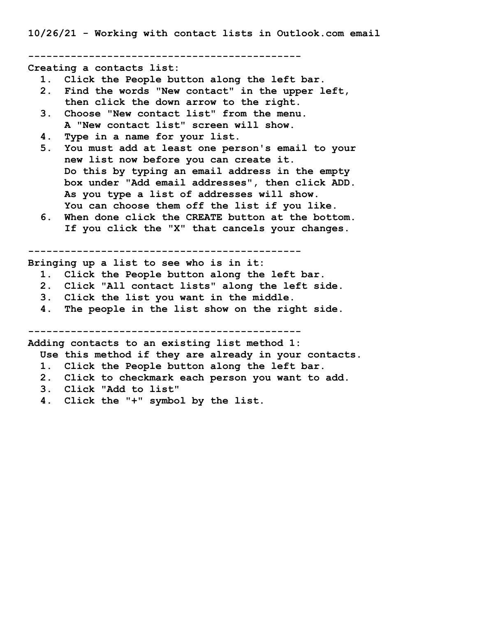**10/26/21 - Working with contact lists in Outlook.com email**

**---------------------------------------------**

**Creating a contacts list:**

- **1. Click the People button along the left bar.**
- **2. Find the words "New contact" in the upper left, then click the down arrow to the right.**
- **3. Choose "New contact list" from the menu. A "New contact list" screen will show.**
- **4. Type in a name for your list.**
- **5. You must add at least one person's email to your new list now before you can create it. Do this by typing an email address in the empty box under "Add email addresses", then click ADD. As you type a list of addresses will show. You can choose them off the list if you like.**
- **6. When done click the CREATE button at the bottom. If you click the "X" that cancels your changes.**

**---------------------------------------------**

**Bringing up a list to see who is in it:**

- **1. Click the People button along the left bar.**
- **2. Click "All contact lists" along the left side.**
- **3. Click the list you want in the middle.**
- **4. The people in the list show on the right side.**

**---------------------------------------------**

**Adding contacts to an existing list method 1:**

 **Use this method if they are already in your contacts.**

- **1. Click the People button along the left bar.**
- **2. Click to checkmark each person you want to add.**
- **3. Click "Add to list"**
- **4. Click the "+" symbol by the list.**